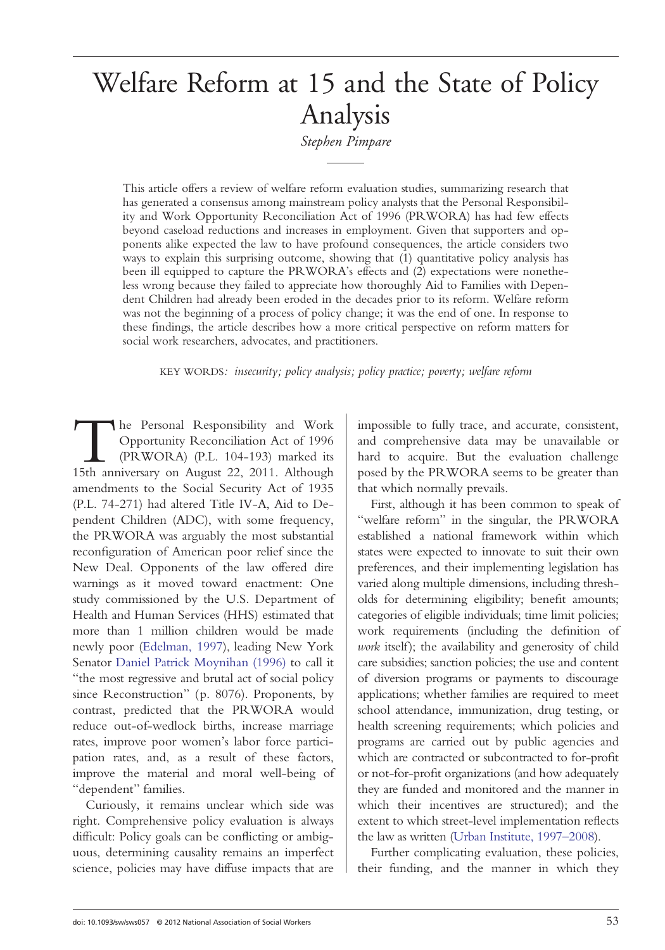# Welfare Reform at 15 and the State of Policy Analysis

Stephen Pimpare

This article offers a review of welfare reform evaluation studies, summarizing research that has generated a consensus among mainstream policy analysts that the Personal Responsibility and Work Opportunity Reconciliation Act of 1996 (PRWORA) has had few effects beyond caseload reductions and increases in employment. Given that supporters and opponents alike expected the law to have profound consequences, the article considers two ways to explain this surprising outcome, showing that (1) quantitative policy analysis has been ill equipped to capture the PRWORA's effects and (2) expectations were nonetheless wrong because they failed to appreciate how thoroughly Aid to Families with Dependent Children had already been eroded in the decades prior to its reform. Welfare reform was not the beginning of a process of policy change; it was the end of one. In response to these findings, the article describes how a more critical perspective on reform matters for social work researchers, advocates, and practitioners.

KEY WORDS: insecurity; policy analysis; policy practice; poverty; welfare reform

The Personal Responsibility and Work<br>
Opportunity Reconciliation Act of 1996<br>
(PRWORA) (P.L. 104-193) marked its<br>
15th anniversary on August 22, 2011. Although Opportunity Reconciliation Act of 1996 (PRWORA) (P.L. 104-193) marked its amendments to the Social Security Act of 1935 (P.L. 74-271) had altered Title IV-A, Aid to Dependent Children (ADC), with some frequency, the PRWORA was arguably the most substantial reconfiguration of American poor relief since the New Deal. Opponents of the law offered dire warnings as it moved toward enactment: One study commissioned by the U.S. Department of Health and Human Services (HHS) estimated that more than 1 million children would be made newly poor [\(Edelman, 1997\)](#page-8-0), leading New York Senator [Daniel Patrick Moynihan \(1996\)](#page-9-0) to call it "the most regressive and brutal act of social policy since Reconstruction" (p. 8076). Proponents, by contrast, predicted that the PRWORA would reduce out-of-wedlock births, increase marriage rates, improve poor women's labor force participation rates, and, as a result of these factors, improve the material and moral well-being of "dependent" families.

Curiously, it remains unclear which side was right. Comprehensive policy evaluation is always difficult: Policy goals can be conflicting or ambiguous, determining causality remains an imperfect science, policies may have diffuse impacts that are impossible to fully trace, and accurate, consistent, and comprehensive data may be unavailable or hard to acquire. But the evaluation challenge posed by the PRWORA seems to be greater than that which normally prevails.

First, although it has been common to speak of "welfare reform" in the singular, the PRWORA established a national framework within which states were expected to innovate to suit their own preferences, and their implementing legislation has varied along multiple dimensions, including thresholds for determining eligibility; benefit amounts; categories of eligible individuals; time limit policies; work requirements (including the definition of work itself); the availability and generosity of child care subsidies; sanction policies; the use and content of diversion programs or payments to discourage applications; whether families are required to meet school attendance, immunization, drug testing, or health screening requirements; which policies and programs are carried out by public agencies and which are contracted or subcontracted to for-profit or not-for-profit organizations (and how adequately they are funded and monitored and the manner in which their incentives are structured); and the extent to which street-level implementation reflects the law as written ([Urban Institute, 1997](#page-9-0)–2008).

Further complicating evaluation, these policies, their funding, and the manner in which they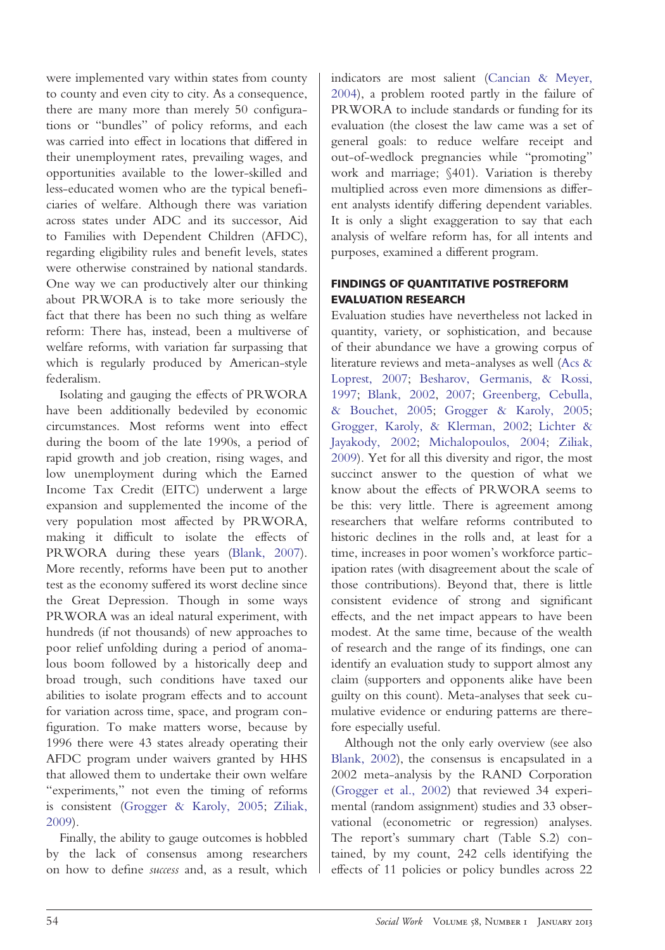were implemented vary within states from county to county and even city to city. As a consequence, there are many more than merely 50 configurations or "bundles" of policy reforms, and each was carried into effect in locations that differed in their unemployment rates, prevailing wages, and opportunities available to the lower-skilled and less-educated women who are the typical beneficiaries of welfare. Although there was variation across states under ADC and its successor, Aid to Families with Dependent Children (AFDC), regarding eligibility rules and benefit levels, states were otherwise constrained by national standards. One way we can productively alter our thinking about PRWORA is to take more seriously the fact that there has been no such thing as welfare reform: There has, instead, been a multiverse of welfare reforms, with variation far surpassing that which is regularly produced by American-style federalism.

Isolating and gauging the effects of PRWORA have been additionally bedeviled by economic circumstances. Most reforms went into effect during the boom of the late 1990s, a period of rapid growth and job creation, rising wages, and low unemployment during which the Earned Income Tax Credit (EITC) underwent a large expansion and supplemented the income of the very population most affected by PRWORA, making it difficult to isolate the effects of PRWORA during these years ([Blank, 2007\)](#page-8-0). More recently, reforms have been put to another test as the economy suffered its worst decline since the Great Depression. Though in some ways PRWORA was an ideal natural experiment, with hundreds (if not thousands) of new approaches to poor relief unfolding during a period of anomalous boom followed by a historically deep and broad trough, such conditions have taxed our abilities to isolate program effects and to account for variation across time, space, and program configuration. To make matters worse, because by 1996 there were 43 states already operating their AFDC program under waivers granted by HHS that allowed them to undertake their own welfare "experiments," not even the timing of reforms is consistent ([Grogger & Karoly, 2005;](#page-9-0) [Ziliak,](#page-9-0) [2009\)](#page-9-0).

Finally, the ability to gauge outcomes is hobbled by the lack of consensus among researchers on how to define success and, as a result, which indicators are most salient ([Cancian & Meyer,](#page-8-0) [2004\)](#page-8-0), a problem rooted partly in the failure of PRWORA to include standards or funding for its evaluation (the closest the law came was a set of general goals: to reduce welfare receipt and out-of-wedlock pregnancies while "promoting" work and marriage; §401). Variation is thereby multiplied across even more dimensions as different analysts identify differing dependent variables. It is only a slight exaggeration to say that each analysis of welfare reform has, for all intents and purposes, examined a different program.

### FINDINGS OF QUANTITATIVE POSTREFORM EVALUATION RESEARCH

Evaluation studies have nevertheless not lacked in quantity, variety, or sophistication, and because of their abundance we have a growing corpus of literature reviews and meta-analyses as well [\(Acs &](#page-8-0) [Loprest, 2007](#page-8-0); [Besharov, Germanis, & Rossi,](#page-8-0) [1997;](#page-8-0) [Blank, 2002,](#page-8-0) [2007;](#page-8-0) [Greenberg, Cebulla,](#page-9-0) [& Bouchet, 2005](#page-9-0); [Grogger & Karoly, 2005;](#page-9-0) [Grogger, Karoly, & Klerman, 2002;](#page-9-0) [Lichter &](#page-9-0) [Jayakody, 2002;](#page-9-0) [Michalopoulos, 2004;](#page-9-0) [Ziliak,](#page-9-0) [2009\)](#page-9-0). Yet for all this diversity and rigor, the most succinct answer to the question of what we know about the effects of PRWORA seems to be this: very little. There is agreement among researchers that welfare reforms contributed to historic declines in the rolls and, at least for a time, increases in poor women's workforce participation rates (with disagreement about the scale of those contributions). Beyond that, there is little consistent evidence of strong and significant effects, and the net impact appears to have been modest. At the same time, because of the wealth of research and the range of its findings, one can identify an evaluation study to support almost any claim (supporters and opponents alike have been guilty on this count). Meta-analyses that seek cumulative evidence or enduring patterns are therefore especially useful.

Although not the only early overview (see also [Blank, 2002](#page-8-0)), the consensus is encapsulated in a 2002 meta-analysis by the RAND Corporation ([Grogger et al., 2002\)](#page-9-0) that reviewed 34 experimental (random assignment) studies and 33 observational (econometric or regression) analyses. The report's summary chart (Table S.2) contained, by my count, 242 cells identifying the effects of 11 policies or policy bundles across 22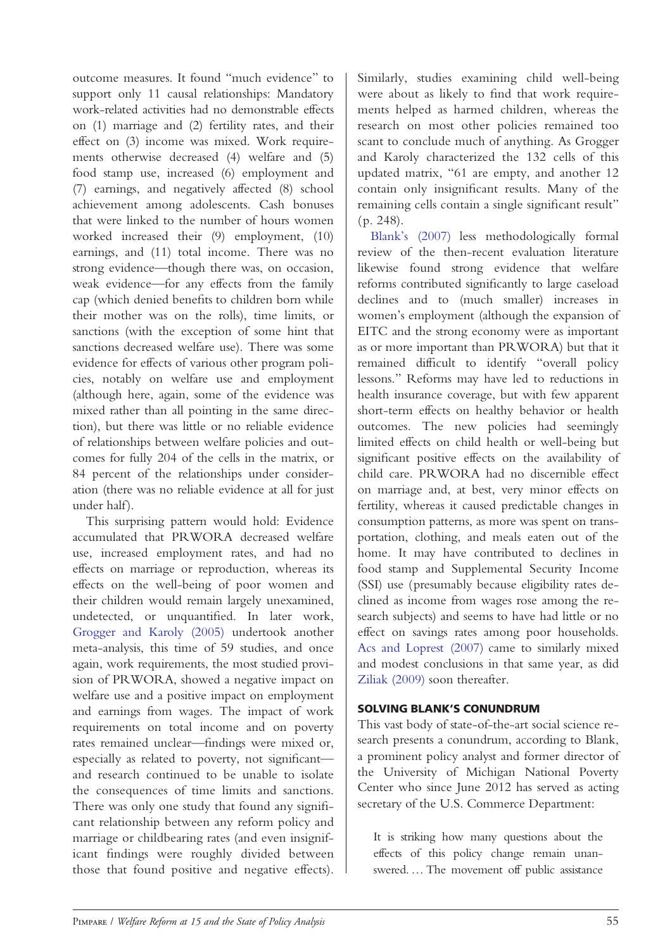outcome measures. It found "much evidence" to support only 11 causal relationships: Mandatory work-related activities had no demonstrable effects on (1) marriage and (2) fertility rates, and their effect on (3) income was mixed. Work requirements otherwise decreased (4) welfare and (5) food stamp use, increased (6) employment and (7) earnings, and negatively affected (8) school achievement among adolescents. Cash bonuses that were linked to the number of hours women worked increased their (9) employment, (10) earnings, and (11) total income. There was no strong evidence—though there was, on occasion, weak evidence—for any effects from the family cap (which denied benefits to children born while their mother was on the rolls), time limits, or sanctions (with the exception of some hint that sanctions decreased welfare use). There was some evidence for effects of various other program policies, notably on welfare use and employment (although here, again, some of the evidence was mixed rather than all pointing in the same direction), but there was little or no reliable evidence of relationships between welfare policies and outcomes for fully 204 of the cells in the matrix, or 84 percent of the relationships under consideration (there was no reliable evidence at all for just under half).

This surprising pattern would hold: Evidence accumulated that PRWORA decreased welfare use, increased employment rates, and had no effects on marriage or reproduction, whereas its effects on the well-being of poor women and their children would remain largely unexamined, undetected, or unquantified. In later work, [Grogger and Karoly \(2005\)](#page-9-0) undertook another meta-analysis, this time of 59 studies, and once again, work requirements, the most studied provision of PRWORA, showed a negative impact on welfare use and a positive impact on employment and earnings from wages. The impact of work requirements on total income and on poverty rates remained unclear—findings were mixed or, especially as related to poverty, not significant and research continued to be unable to isolate the consequences of time limits and sanctions. There was only one study that found any significant relationship between any reform policy and marriage or childbearing rates (and even insignificant findings were roughly divided between those that found positive and negative effects). Similarly, studies examining child well-being were about as likely to find that work requirements helped as harmed children, whereas the research on most other policies remained too scant to conclude much of anything. As Grogger and Karoly characterized the 132 cells of this updated matrix, "61 are empty, and another 12 contain only insignificant results. Many of the remaining cells contain a single significant result" ( p. 248).

Blank'[s \(2007\)](#page-8-0) less methodologically formal review of the then-recent evaluation literature likewise found strong evidence that welfare reforms contributed significantly to large caseload declines and to (much smaller) increases in women's employment (although the expansion of EITC and the strong economy were as important as or more important than PRWORA) but that it remained difficult to identify "overall policy lessons." Reforms may have led to reductions in health insurance coverage, but with few apparent short-term effects on healthy behavior or health outcomes. The new policies had seemingly limited effects on child health or well-being but significant positive effects on the availability of child care. PRWORA had no discernible effect on marriage and, at best, very minor effects on fertility, whereas it caused predictable changes in consumption patterns, as more was spent on transportation, clothing, and meals eaten out of the home. It may have contributed to declines in food stamp and Supplemental Security Income (SSI) use ( presumably because eligibility rates declined as income from wages rose among the research subjects) and seems to have had little or no effect on savings rates among poor households. [Acs and Loprest \(2007\)](#page-8-0) came to similarly mixed and modest conclusions in that same year, as did [Ziliak \(2009\)](#page-9-0) soon thereafter.

#### SOLVING BLANK'S CONUNDRUM

This vast body of state-of-the-art social science research presents a conundrum, according to Blank, a prominent policy analyst and former director of the University of Michigan National Poverty Center who since June 2012 has served as acting secretary of the U.S. Commerce Department:

It is striking how many questions about the effects of this policy change remain unanswered. … The movement off public assistance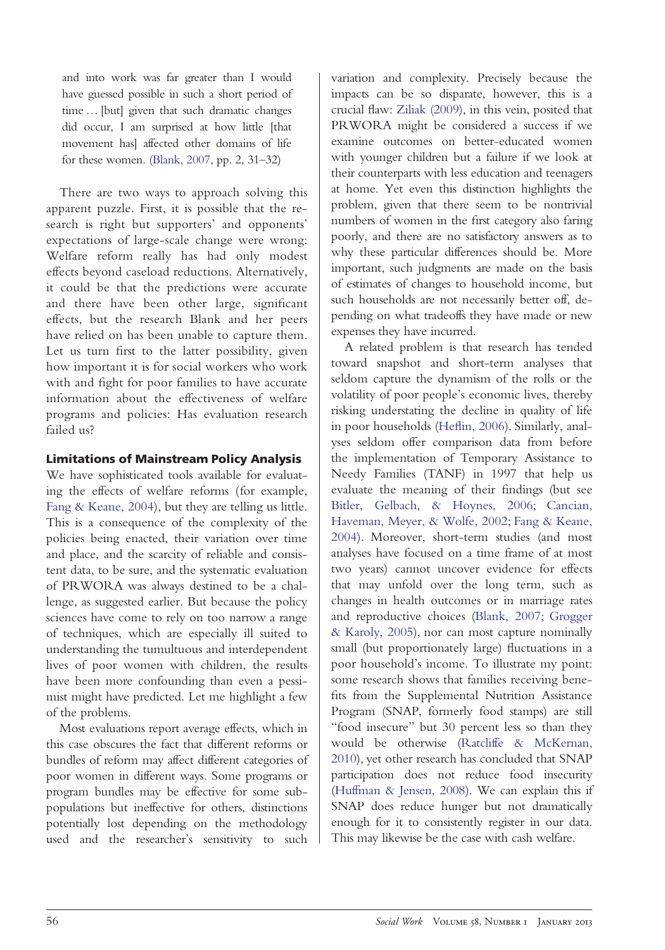and into work was far greater than I would have guessed possible in such a short period of time … [but] given that such dramatic changes did occur, I am surprised at how little [that movement has] affected other domains of life for these women. ([Blank, 2007](#page-8-0), pp. 2, 31–32)

There are two ways to approach solving this apparent puzzle. First, it is possible that the research is right but supporters' and opponents' expectations of large-scale change were wrong: Welfare reform really has had only modest effects beyond caseload reductions. Alternatively, it could be that the predictions were accurate and there have been other large, significant effects, but the research Blank and her peers have relied on has been unable to capture them. Let us turn first to the latter possibility, given how important it is for social workers who work with and fight for poor families to have accurate information about the effectiveness of welfare programs and policies: Has evaluation research failed us?

### Limitations of Mainstream Policy Analysis

We have sophisticated tools available for evaluating the effects of welfare reforms (for example, [Fang & Keane, 2004\)](#page-8-0), but they are telling us little. This is a consequence of the complexity of the policies being enacted, their variation over time and place, and the scarcity of reliable and consistent data, to be sure, and the systematic evaluation of PRWORA was always destined to be a challenge, as suggested earlier. But because the policy sciences have come to rely on too narrow a range of techniques, which are especially ill suited to understanding the tumultuous and interdependent lives of poor women with children, the results have been more confounding than even a pessimist might have predicted. Let me highlight a few of the problems.

Most evaluations report average effects, which in this case obscures the fact that different reforms or bundles of reform may affect different categories of poor women in different ways. Some programs or program bundles may be effective for some subpopulations but ineffective for others, distinctions potentially lost depending on the methodology used and the researcher's sensitivity to such

variation and complexity. Precisely because the impacts can be so disparate, however, this is a crucial flaw: [Ziliak \(2009\),](#page-9-0) in this vein, posited that PRWORA might be considered a success if we examine outcomes on better-educated women with younger children but a failure if we look at their counterparts with less education and teenagers at home. Yet even this distinction highlights the problem, given that there seem to be nontrivial numbers of women in the first category also faring poorly, and there are no satisfactory answers as to why these particular differences should be. More important, such judgments are made on the basis of estimates of changes to household income, but such households are not necessarily better off, depending on what tradeoffs they have made or new expenses they have incurred.

A related problem is that research has tended toward snapshot and short-term analyses that seldom capture the dynamism of the rolls or the volatility of poor people's economic lives, thereby risking understating the decline in quality of life in poor households (Hefl[in, 2006\)](#page-9-0). Similarly, analyses seldom offer comparison data from before the implementation of Temporary Assistance to Needy Families (TANF) in 1997 that help us evaluate the meaning of their findings (but see [Bitler, Gelbach, & Hoynes, 2006;](#page-8-0) [Cancian,](#page-8-0) [Haveman, Meyer, & Wolfe, 2002;](#page-8-0) [Fang & Keane,](#page-8-0) [2004\)](#page-8-0). Moreover, short-term studies (and most analyses have focused on a time frame of at most two years) cannot uncover evidence for effects that may unfold over the long term, such as changes in health outcomes or in marriage rates and reproductive choices [\(Blank, 2007;](#page-8-0) [Grogger](#page-9-0) [& Karoly, 2005](#page-9-0)), nor can most capture nominally small (but proportionately large) fluctuations in a poor household's income. To illustrate my point: some research shows that families receiving benefits from the Supplemental Nutrition Assistance Program (SNAP, formerly food stamps) are still "food insecure" but 30 percent less so than they would be otherwise ([Ratcliffe & McKernan,](#page-9-0) [2010](#page-9-0)), yet other research has concluded that SNAP participation does not reduce food insecurity ([Huffman & Jensen, 2008\)](#page-9-0). We can explain this if SNAP does reduce hunger but not dramatically enough for it to consistently register in our data. This may likewise be the case with cash welfare.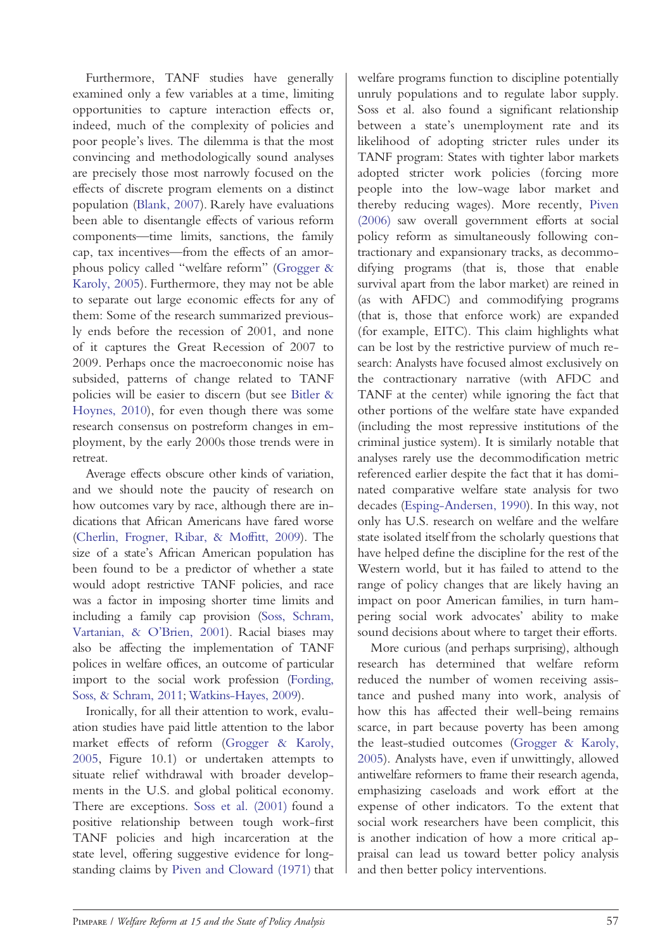Furthermore, TANF studies have generally examined only a few variables at a time, limiting opportunities to capture interaction effects or, indeed, much of the complexity of policies and poor people's lives. The dilemma is that the most convincing and methodologically sound analyses are precisely those most narrowly focused on the effects of discrete program elements on a distinct population ([Blank, 2007\)](#page-8-0). Rarely have evaluations been able to disentangle effects of various reform components—time limits, sanctions, the family cap, tax incentives—from the effects of an amorphous policy called "welfare reform" ([Grogger &](#page-9-0) [Karoly, 2005](#page-9-0)). Furthermore, they may not be able to separate out large economic effects for any of them: Some of the research summarized previously ends before the recession of 2001, and none of it captures the Great Recession of 2007 to 2009. Perhaps once the macroeconomic noise has subsided, patterns of change related to TANF policies will be easier to discern (but see [Bitler &](#page-8-0) [Hoynes, 2010](#page-8-0)), for even though there was some research consensus on postreform changes in employment, by the early 2000s those trends were in retreat.

Average effects obscure other kinds of variation, and we should note the paucity of research on how outcomes vary by race, although there are indications that African Americans have fared worse ([Cherlin, Frogner, Ribar, & Mof](#page-8-0)fitt, 2009). The size of a state's African American population has been found to be a predictor of whether a state would adopt restrictive TANF policies, and race was a factor in imposing shorter time limits and including a family cap provision [\(Soss, Schram,](#page-9-0) [Vartanian, & O](#page-9-0)'Brien, 2001). Racial biases may also be affecting the implementation of TANF polices in welfare offices, an outcome of particular import to the social work profession [\(Fording,](#page-8-0) [Soss, & Schram, 2011;](#page-8-0) [Watkins-Hayes, 2009](#page-9-0)).

Ironically, for all their attention to work, evaluation studies have paid little attention to the labor market effects of reform ([Grogger & Karoly,](#page-9-0) [2005,](#page-9-0) Figure 10.1) or undertaken attempts to situate relief withdrawal with broader developments in the U.S. and global political economy. There are exceptions. [Soss et al. \(2001\)](#page-9-0) found a positive relationship between tough work-first TANF policies and high incarceration at the state level, offering suggestive evidence for longstanding claims by [Piven and Cloward \(1971\)](#page-9-0) that welfare programs function to discipline potentially unruly populations and to regulate labor supply. Soss et al. also found a significant relationship between a state's unemployment rate and its likelihood of adopting stricter rules under its TANF program: States with tighter labor markets adopted stricter work policies (forcing more people into the low-wage labor market and thereby reducing wages). More recently, [Piven](#page-9-0) [\(2006\)](#page-9-0) saw overall government efforts at social policy reform as simultaneously following contractionary and expansionary tracks, as decommodifying programs (that is, those that enable survival apart from the labor market) are reined in (as with AFDC) and commodifying programs (that is, those that enforce work) are expanded (for example, EITC). This claim highlights what can be lost by the restrictive purview of much research: Analysts have focused almost exclusively on the contractionary narrative (with AFDC and TANF at the center) while ignoring the fact that other portions of the welfare state have expanded (including the most repressive institutions of the criminal justice system). It is similarly notable that analyses rarely use the decommodification metric referenced earlier despite the fact that it has dominated comparative welfare state analysis for two decades ([Esping-Andersen, 1990\)](#page-8-0). In this way, not only has U.S. research on welfare and the welfare state isolated itself from the scholarly questions that have helped define the discipline for the rest of the Western world, but it has failed to attend to the range of policy changes that are likely having an impact on poor American families, in turn hampering social work advocates' ability to make sound decisions about where to target their efforts.

More curious (and perhaps surprising), although research has determined that welfare reform reduced the number of women receiving assistance and pushed many into work, analysis of how this has affected their well-being remains scarce, in part because poverty has been among the least-studied outcomes [\(Grogger & Karoly,](#page-9-0) [2005\)](#page-9-0). Analysts have, even if unwittingly, allowed antiwelfare reformers to frame their research agenda, emphasizing caseloads and work effort at the expense of other indicators. To the extent that social work researchers have been complicit, this is another indication of how a more critical appraisal can lead us toward better policy analysis and then better policy interventions.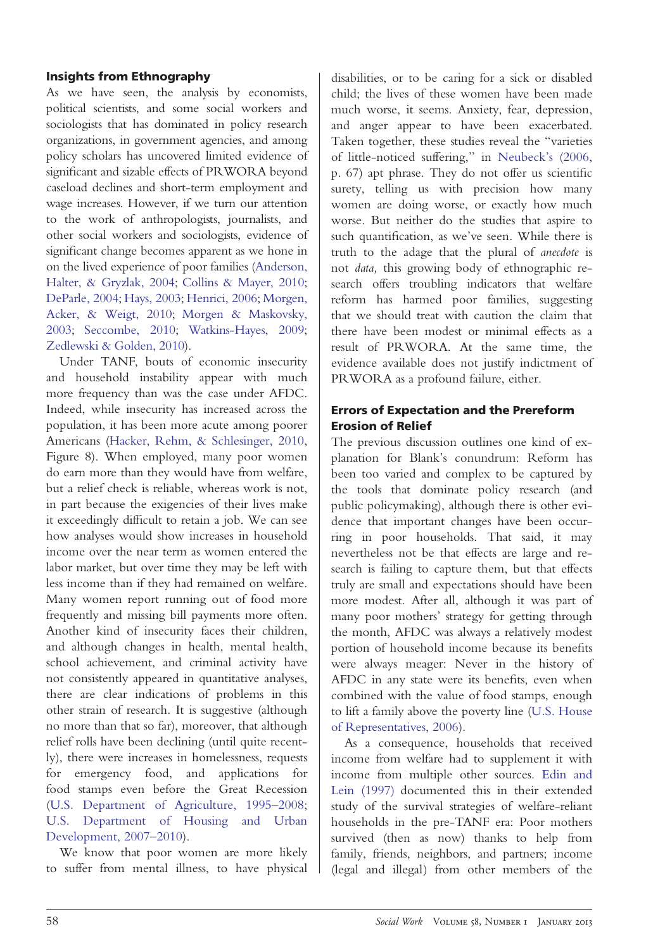### Insights from Ethnography

As we have seen, the analysis by economists, political scientists, and some social workers and sociologists that has dominated in policy research organizations, in government agencies, and among policy scholars has uncovered limited evidence of significant and sizable effects of PRWORA beyond caseload declines and short-term employment and wage increases. However, if we turn our attention to the work of anthropologists, journalists, and other social workers and sociologists, evidence of significant change becomes apparent as we hone in on the lived experience of poor families [\(Anderson,](#page-8-0) [Halter, & Gryzlak, 2004](#page-8-0); [Collins & Mayer, 2010;](#page-8-0) [DeParle, 2004;](#page-8-0) [Hays, 2003](#page-9-0); [Henrici, 2006;](#page-9-0) [Morgen,](#page-9-0) [Acker, & Weigt, 2010](#page-9-0); [Morgen & Maskovsky,](#page-9-0) [2003](#page-9-0); [Seccombe, 2010](#page-9-0); [Watkins-Hayes, 2009;](#page-9-0) [Zedlewski & Golden, 2010\)](#page-9-0).

Under TANF, bouts of economic insecurity and household instability appear with much more frequency than was the case under AFDC. Indeed, while insecurity has increased across the population, it has been more acute among poorer Americans ([Hacker, Rehm, & Schlesinger, 2010,](#page-9-0) Figure 8). When employed, many poor women do earn more than they would have from welfare, but a relief check is reliable, whereas work is not, in part because the exigencies of their lives make it exceedingly difficult to retain a job. We can see how analyses would show increases in household income over the near term as women entered the labor market, but over time they may be left with less income than if they had remained on welfare. Many women report running out of food more frequently and missing bill payments more often. Another kind of insecurity faces their children, and although changes in health, mental health, school achievement, and criminal activity have not consistently appeared in quantitative analyses, there are clear indications of problems in this other strain of research. It is suggestive (although no more than that so far), moreover, that although relief rolls have been declining (until quite recently), there were increases in homelessness, requests for emergency food, and applications for food stamps even before the Great Recession ([U.S. Department of Agriculture, 1995](#page-9-0)–2008; [U.S. Department of Housing and Urban](#page-9-0) [Development, 2007](#page-9-0)–2010).

We know that poor women are more likely to suffer from mental illness, to have physical disabilities, or to be caring for a sick or disabled child; the lives of these women have been made much worse, it seems. Anxiety, fear, depression, and anger appear to have been exacerbated. Taken together, these studies reveal the "varieties of little-noticed suffering," in [Neubeck](#page-9-0)'s (2006, p. 67) apt phrase. They do not offer us scientific surety, telling us with precision how many women are doing worse, or exactly how much worse. But neither do the studies that aspire to such quantification, as we've seen. While there is truth to the adage that the plural of anecdote is not data, this growing body of ethnographic research offers troubling indicators that welfare reform has harmed poor families, suggesting that we should treat with caution the claim that there have been modest or minimal effects as a result of PRWORA. At the same time, the evidence available does not justify indictment of PRWORA as a profound failure, either.

## Errors of Expectation and the Prereform Erosion of Relief

The previous discussion outlines one kind of explanation for Blank's conundrum: Reform has been too varied and complex to be captured by the tools that dominate policy research (and public policymaking), although there is other evidence that important changes have been occurring in poor households. That said, it may nevertheless not be that effects are large and research is failing to capture them, but that effects truly are small and expectations should have been more modest. After all, although it was part of many poor mothers' strategy for getting through the month, AFDC was always a relatively modest portion of household income because its benefits were always meager: Never in the history of AFDC in any state were its benefits, even when combined with the value of food stamps, enough to lift a family above the poverty line ([U.S. House](#page-9-0) [of Representatives, 2006\)](#page-9-0).

As a consequence, households that received income from welfare had to supplement it with income from multiple other sources. [Edin and](#page-8-0) [Lein \(1997\)](#page-8-0) documented this in their extended study of the survival strategies of welfare-reliant households in the pre-TANF era: Poor mothers survived (then as now) thanks to help from family, friends, neighbors, and partners; income (legal and illegal) from other members of the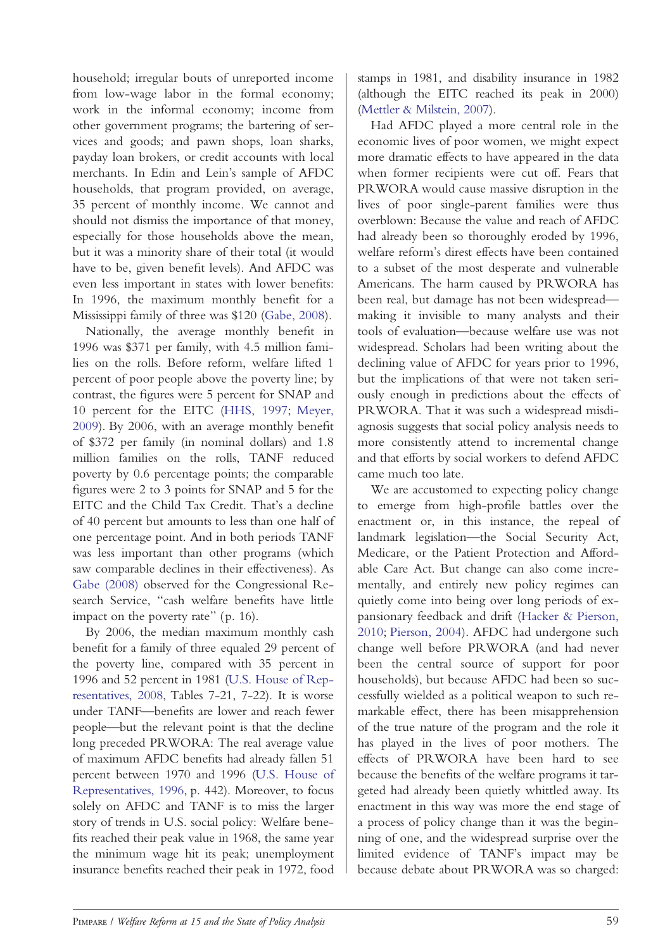household; irregular bouts of unreported income from low-wage labor in the formal economy; work in the informal economy; income from other government programs; the bartering of services and goods; and pawn shops, loan sharks, payday loan brokers, or credit accounts with local merchants. In Edin and Lein's sample of AFDC households, that program provided, on average, 35 percent of monthly income. We cannot and should not dismiss the importance of that money, especially for those households above the mean, but it was a minority share of their total (it would have to be, given benefit levels). And AFDC was even less important in states with lower benefits: In 1996, the maximum monthly benefit for a Mississippi family of three was \$120 [\(Gabe, 2008](#page-8-0)).

Nationally, the average monthly benefit in 1996 was \$371 per family, with 4.5 million families on the rolls. Before reform, welfare lifted 1 percent of poor people above the poverty line; by contrast, the figures were 5 percent for SNAP and 10 percent for the EITC ([HHS, 1997](#page-9-0); [Meyer,](#page-9-0) [2009\)](#page-9-0). By 2006, with an average monthly benefit of \$372 per family (in nominal dollars) and 1.8 million families on the rolls, TANF reduced poverty by 0.6 percentage points; the comparable figures were 2 to 3 points for SNAP and 5 for the EITC and the Child Tax Credit. That's a decline of 40 percent but amounts to less than one half of one percentage point. And in both periods TANF was less important than other programs (which saw comparable declines in their effectiveness). As [Gabe \(2008\)](#page-8-0) observed for the Congressional Research Service, "cash welfare benefits have little impact on the poverty rate" (p. 16).

By 2006, the median maximum monthly cash benefit for a family of three equaled 29 percent of the poverty line, compared with 35 percent in 1996 and 52 percent in 1981 [\(U.S. House of Rep](#page-9-0)[resentatives, 2008](#page-9-0), Tables 7-21, 7-22). It is worse under TANF—benefits are lower and reach fewer people—but the relevant point is that the decline long preceded PRWORA: The real average value of maximum AFDC benefits had already fallen 51 percent between 1970 and 1996 ([U.S. House of](#page-9-0) [Representatives, 1996](#page-9-0), p. 442). Moreover, to focus solely on AFDC and TANF is to miss the larger story of trends in U.S. social policy: Welfare benefits reached their peak value in 1968, the same year the minimum wage hit its peak; unemployment insurance benefits reached their peak in 1972, food

stamps in 1981, and disability insurance in 1982 (although the EITC reached its peak in 2000) ([Mettler & Milstein, 2007\)](#page-9-0).

Had AFDC played a more central role in the economic lives of poor women, we might expect more dramatic effects to have appeared in the data when former recipients were cut off. Fears that PRWORA would cause massive disruption in the lives of poor single-parent families were thus overblown: Because the value and reach of AFDC had already been so thoroughly eroded by 1996, welfare reform's direst effects have been contained to a subset of the most desperate and vulnerable Americans. The harm caused by PRWORA has been real, but damage has not been widespread making it invisible to many analysts and their tools of evaluation—because welfare use was not widespread. Scholars had been writing about the declining value of AFDC for years prior to 1996, but the implications of that were not taken seriously enough in predictions about the effects of PRWORA. That it was such a widespread misdiagnosis suggests that social policy analysis needs to more consistently attend to incremental change and that efforts by social workers to defend AFDC came much too late.

We are accustomed to expecting policy change to emerge from high-profile battles over the enactment or, in this instance, the repeal of landmark legislation—the Social Security Act, Medicare, or the Patient Protection and Affordable Care Act. But change can also come incrementally, and entirely new policy regimes can quietly come into being over long periods of expansionary feedback and drift [\(Hacker & Pierson,](#page-9-0) [2010;](#page-9-0) [Pierson, 2004\)](#page-9-0). AFDC had undergone such change well before PRWORA (and had never been the central source of support for poor households), but because AFDC had been so successfully wielded as a political weapon to such remarkable effect, there has been misapprehension of the true nature of the program and the role it has played in the lives of poor mothers. The effects of PRWORA have been hard to see because the benefits of the welfare programs it targeted had already been quietly whittled away. Its enactment in this way was more the end stage of a process of policy change than it was the beginning of one, and the widespread surprise over the limited evidence of TANF's impact may be because debate about PRWORA was so charged: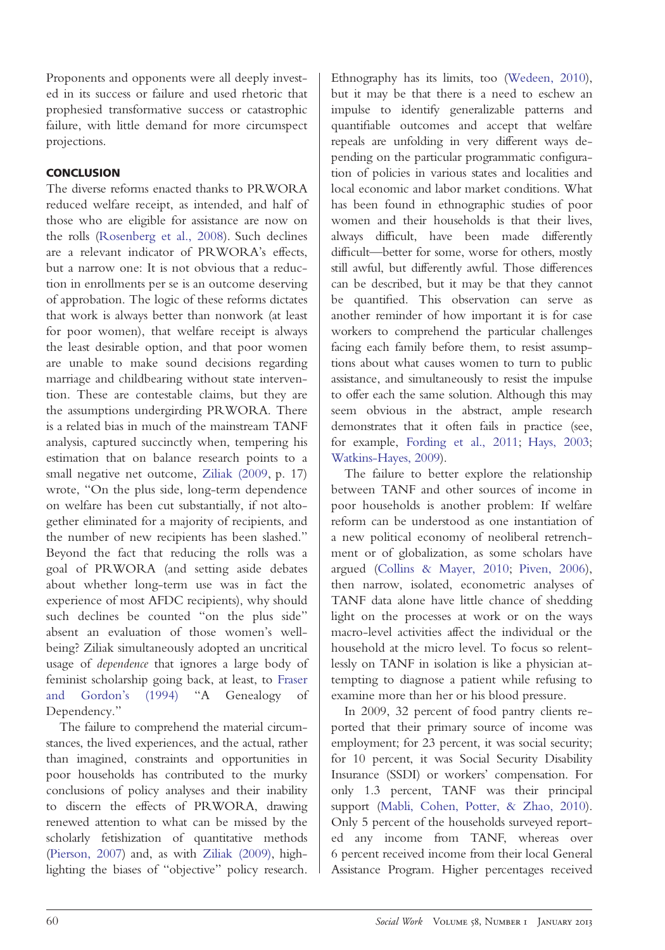Proponents and opponents were all deeply invested in its success or failure and used rhetoric that prophesied transformative success or catastrophic failure, with little demand for more circumspect projections.

#### **CONCLUSION**

The diverse reforms enacted thanks to PRWORA reduced welfare receipt, as intended, and half of those who are eligible for assistance are now on the rolls [\(Rosenberg et al., 2008](#page-9-0)). Such declines are a relevant indicator of PRWORA's effects, but a narrow one: It is not obvious that a reduction in enrollments per se is an outcome deserving of approbation. The logic of these reforms dictates that work is always better than nonwork (at least for poor women), that welfare receipt is always the least desirable option, and that poor women are unable to make sound decisions regarding marriage and childbearing without state intervention. These are contestable claims, but they are the assumptions undergirding PRWORA. There is a related bias in much of the mainstream TANF analysis, captured succinctly when, tempering his estimation that on balance research points to a small negative net outcome, [Ziliak \(2009,](#page-9-0) p. 17) wrote, "On the plus side, long-term dependence on welfare has been cut substantially, if not altogether eliminated for a majority of recipients, and the number of new recipients has been slashed." Beyond the fact that reducing the rolls was a goal of PRWORA (and setting aside debates about whether long-term use was in fact the experience of most AFDC recipients), why should such declines be counted "on the plus side" absent an evaluation of those women's wellbeing? Ziliak simultaneously adopted an uncritical usage of dependence that ignores a large body of feminist scholarship going back, at least, to [Fraser](#page-8-0) [and Gordon](#page-8-0)'s (1994) "A Genealogy of Dependency."

The failure to comprehend the material circumstances, the lived experiences, and the actual, rather than imagined, constraints and opportunities in poor households has contributed to the murky conclusions of policy analyses and their inability to discern the effects of PRWORA, drawing renewed attention to what can be missed by the scholarly fetishization of quantitative methods ([Pierson, 2007](#page-9-0)) and, as with [Ziliak \(2009\),](#page-9-0) highlighting the biases of "objective" policy research. Ethnography has its limits, too ([Wedeen, 2010\)](#page-9-0), but it may be that there is a need to eschew an impulse to identify generalizable patterns and quantifiable outcomes and accept that welfare repeals are unfolding in very different ways depending on the particular programmatic configuration of policies in various states and localities and local economic and labor market conditions. What has been found in ethnographic studies of poor women and their households is that their lives, always difficult, have been made differently difficult—better for some, worse for others, mostly still awful, but differently awful. Those differences can be described, but it may be that they cannot be quantified. This observation can serve as another reminder of how important it is for case workers to comprehend the particular challenges facing each family before them, to resist assumptions about what causes women to turn to public assistance, and simultaneously to resist the impulse to offer each the same solution. Although this may seem obvious in the abstract, ample research demonstrates that it often fails in practice (see, for example, [Fording et al., 2011;](#page-8-0) [Hays, 2003;](#page-9-0) [Watkins-Hayes, 2009](#page-9-0)).

The failure to better explore the relationship between TANF and other sources of income in poor households is another problem: If welfare reform can be understood as one instantiation of a new political economy of neoliberal retrenchment or of globalization, as some scholars have argued [\(Collins & Mayer, 2010;](#page-8-0) [Piven, 2006\)](#page-9-0), then narrow, isolated, econometric analyses of TANF data alone have little chance of shedding light on the processes at work or on the ways macro-level activities affect the individual or the household at the micro level. To focus so relentlessly on TANF in isolation is like a physician attempting to diagnose a patient while refusing to examine more than her or his blood pressure.

In 2009, 32 percent of food pantry clients reported that their primary source of income was employment; for 23 percent, it was social security; for 10 percent, it was Social Security Disability Insurance (SSDI) or workers' compensation. For only 1.3 percent, TANF was their principal support [\(Mabli, Cohen, Potter, & Zhao, 2010\)](#page-9-0). Only 5 percent of the households surveyed reported any income from TANF, whereas over 6 percent received income from their local General Assistance Program. Higher percentages received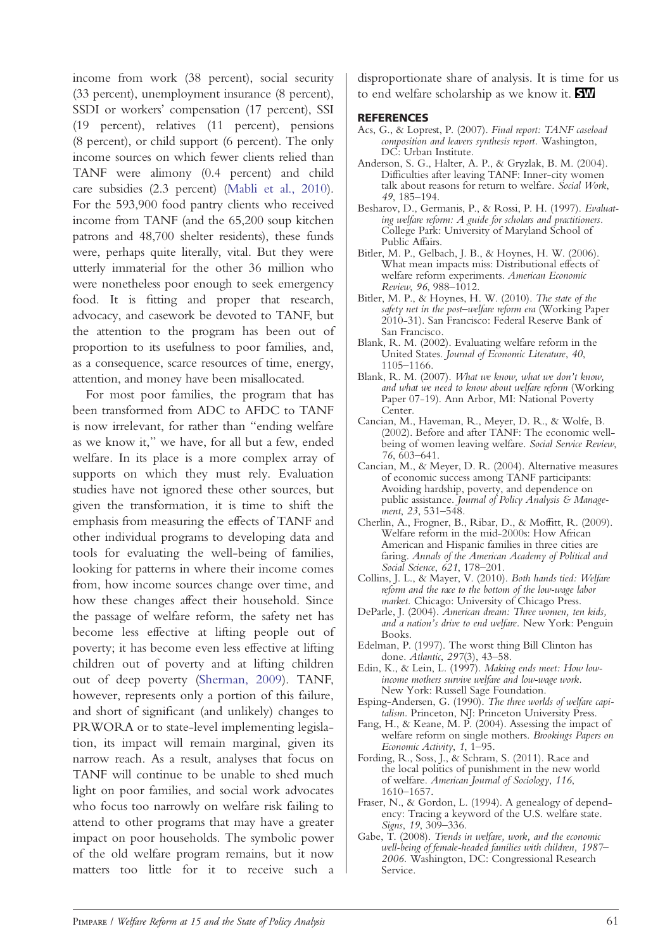<span id="page-8-0"></span>income from work (38 percent), social security (33 percent), unemployment insurance (8 percent), SSDI or workers' compensation (17 percent), SSI (19 percent), relatives (11 percent), pensions (8 percent), or child support (6 percent). The only income sources on which fewer clients relied than TANF were alimony (0.4 percent) and child care subsidies (2.3 percent) [\(Mabli et al., 2010\)](#page-9-0). For the 593,900 food pantry clients who received income from TANF (and the 65,200 soup kitchen patrons and 48,700 shelter residents), these funds were, perhaps quite literally, vital. But they were utterly immaterial for the other 36 million who were nonetheless poor enough to seek emergency food. It is fitting and proper that research, advocacy, and casework be devoted to TANF, but the attention to the program has been out of proportion to its usefulness to poor families, and, as a consequence, scarce resources of time, energy, attention, and money have been misallocated.

For most poor families, the program that has been transformed from ADC to AFDC to TANF is now irrelevant, for rather than "ending welfare as we know it," we have, for all but a few, ended welfare. In its place is a more complex array of supports on which they must rely. Evaluation studies have not ignored these other sources, but given the transformation, it is time to shift the emphasis from measuring the effects of TANF and other individual programs to developing data and tools for evaluating the well-being of families, looking for patterns in where their income comes from, how income sources change over time, and how these changes affect their household. Since the passage of welfare reform, the safety net has become less effective at lifting people out of poverty; it has become even less effective at lifting children out of poverty and at lifting children out of deep poverty ([Sherman, 2009\)](#page-9-0). TANF, however, represents only a portion of this failure, and short of significant (and unlikely) changes to PRWORA or to state-level implementing legislation, its impact will remain marginal, given its narrow reach. As a result, analyses that focus on TANF will continue to be unable to shed much light on poor families, and social work advocates who focus too narrowly on welfare risk failing to attend to other programs that may have a greater impact on poor households. The symbolic power of the old welfare program remains, but it now matters too little for it to receive such a disproportionate share of analysis. It is time for us to end welfare scholarship as we know it. **SW** 

#### **REFERENCES**

- Acs, G., & Loprest, P. (2007). Final report: TANF caseload composition and leavers synthesis report. Washington, DC: Urban Institute.
- Anderson, S. G., Halter, A. P., & Gryzlak, B. M. (2004). Difficulties after leaving TANF: Inner-city women talk about reasons for return to welfare. Social Work, 49, 185–194.
- Besharov, D., Germanis, P., & Rossi, P. H. (1997). Evaluating welfare reform: A guide for scholars and practitioners. College Park: University of Maryland School of Public Affairs.
- Bitler, M. P., Gelbach, J. B., & Hoynes, H. W. (2006). What mean impacts miss: Distributional effects of welfare reform experiments. American Economic Review, 96, 988–1012.
- Bitler, M. P., & Hoynes, H. W. (2010). The state of the safety net in the post–welfare reform era (Working Paper 2010-31). San Francisco: Federal Reserve Bank of San Francisco.
- Blank, R. M. (2002). Evaluating welfare reform in the United States. Journal of Economic Literature, 40, 1105–1166.
- Blank, R. M. (2007). What we know, what we don't know, and what we need to know about welfare reform (Working Paper 07-19). Ann Arbor, MI: National Poverty Center.
- Cancian, M., Haveman, R., Meyer, D. R., & Wolfe, B. (2002). Before and after TANF: The economic wellbeing of women leaving welfare. Social Service Review, 76, 603–641.
- Cancian, M., & Meyer, D. R. (2004). Alternative measures of economic success among TANF participants: Avoiding hardship, poverty, and dependence on public assistance. Journal of Policy Analysis & Management, 23, 531–548.
- Cherlin, A., Frogner, B., Ribar, D., & Moffitt, R. (2009). Welfare reform in the mid-2000s: How African American and Hispanic families in three cities are faring. Annals of the American Academy of Political and Social Science, 621, 178-201.
- Collins, J. L., & Mayer, V. (2010). Both hands tied: Welfare reform and the race to the bottom of the low-wage labor market. Chicago: University of Chicago Press.
- DeParle, J. (2004). American dream: Three women, ten kids, and a nation's drive to end welfare. New York: Penguin Books.
- Edelman, P. (1997). The worst thing Bill Clinton has done. Atlantic, 297(3), 43–58.
- Edin, K., & Lein, L. (1997). Making ends meet: How lowincome mothers survive welfare and low-wage work. New York: Russell Sage Foundation.
- Esping-Andersen, G. (1990). The three worlds of welfare capitalism. Princeton, NJ: Princeton University Press.
- Fang, H., & Keane, M. P. (2004). Assessing the impact of welfare reform on single mothers. Brookings Papers on Economic Activity, 1, 1–95.
- Fording, R., Soss, J., & Schram, S. (2011). Race and the local politics of punishment in the new world of welfare. American Journal of Sociology, <sup>116</sup>, <sup>1610</sup>–1657.
- Fraser, N., & Gordon, L. (1994). A genealogy of dependency: Tracing a keyword of the U.S. welfare state. Signs, 19, 309-336.
- Gabe, T. (2008). Trends in welfare, work, and the economic well-being of female-headed families with children, 1987– 2006. Washington, DC: Congressional Research Service.